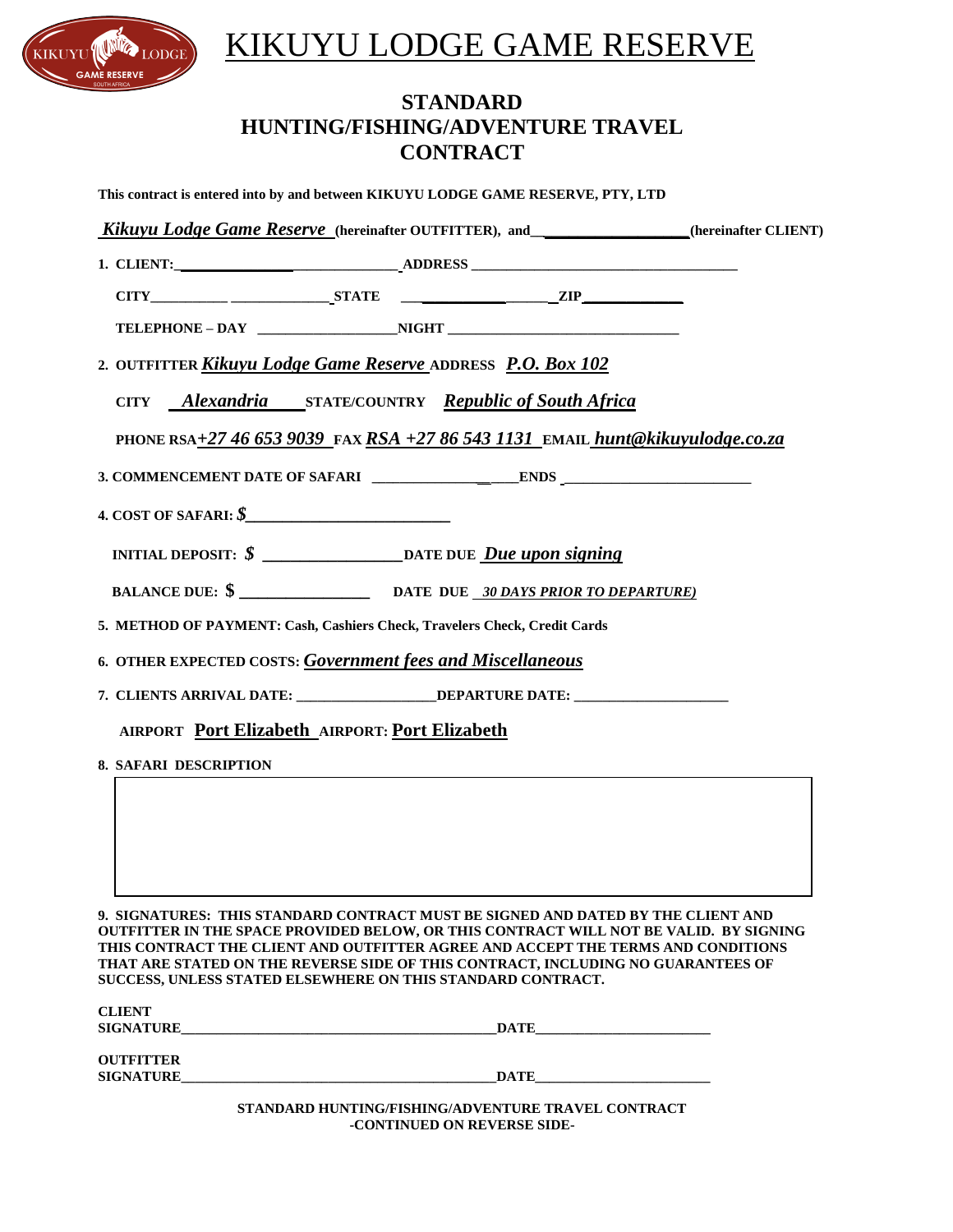

**OUTFITTER** 

## KIKUYU LODGE GAME RESERVE

## **STANDARD HUNTING/FISHING/ADVENTURE TRAVEL CONTRACT**

| Kikuyu Lodge Game Reserve (hereinafter OUTFITTER), and______________(hereinafter CLIENT)<br>2. OUTFITTER Kikuyu Lodge Game Reserve ADDRESS P.O. Box 102<br>CITY Alexandria STATE/COUNTRY Republic of South Africa<br>PHONE RSA+27 46 653 9039 FAX RSA +27 86 543 1131 EMAIL hunt@kikuyulodge.co.za<br>INITIAL DEPOSIT: \$ __________________________________DATE DUE <u>Due upon signing</u><br>5. METHOD OF PAYMENT: Cash, Cashiers Check, Travelers Check, Credit Cards<br>6. OTHER EXPECTED COSTS: Government fees and Miscellaneous<br>7. CLIENTS ARRIVAL DATE: _______________DEPARTURE DATE: ________________________<br><b>AIRPORT Port Elizabeth AIRPORT: Port Elizabeth</b><br><b>8. SAFARI DESCRIPTION</b><br>9. SIGNATURES: THIS STANDARD CONTRACT MUST BE SIGNED AND DATED BY THE CLIENT AND | This contract is entered into by and between KIKUYU LODGE GAME RESERVE, PTY, LTD      |
|----------------------------------------------------------------------------------------------------------------------------------------------------------------------------------------------------------------------------------------------------------------------------------------------------------------------------------------------------------------------------------------------------------------------------------------------------------------------------------------------------------------------------------------------------------------------------------------------------------------------------------------------------------------------------------------------------------------------------------------------------------------------------------------------------------|---------------------------------------------------------------------------------------|
|                                                                                                                                                                                                                                                                                                                                                                                                                                                                                                                                                                                                                                                                                                                                                                                                          |                                                                                       |
|                                                                                                                                                                                                                                                                                                                                                                                                                                                                                                                                                                                                                                                                                                                                                                                                          |                                                                                       |
|                                                                                                                                                                                                                                                                                                                                                                                                                                                                                                                                                                                                                                                                                                                                                                                                          |                                                                                       |
|                                                                                                                                                                                                                                                                                                                                                                                                                                                                                                                                                                                                                                                                                                                                                                                                          |                                                                                       |
|                                                                                                                                                                                                                                                                                                                                                                                                                                                                                                                                                                                                                                                                                                                                                                                                          |                                                                                       |
|                                                                                                                                                                                                                                                                                                                                                                                                                                                                                                                                                                                                                                                                                                                                                                                                          |                                                                                       |
|                                                                                                                                                                                                                                                                                                                                                                                                                                                                                                                                                                                                                                                                                                                                                                                                          |                                                                                       |
|                                                                                                                                                                                                                                                                                                                                                                                                                                                                                                                                                                                                                                                                                                                                                                                                          |                                                                                       |
|                                                                                                                                                                                                                                                                                                                                                                                                                                                                                                                                                                                                                                                                                                                                                                                                          |                                                                                       |
|                                                                                                                                                                                                                                                                                                                                                                                                                                                                                                                                                                                                                                                                                                                                                                                                          |                                                                                       |
|                                                                                                                                                                                                                                                                                                                                                                                                                                                                                                                                                                                                                                                                                                                                                                                                          |                                                                                       |
|                                                                                                                                                                                                                                                                                                                                                                                                                                                                                                                                                                                                                                                                                                                                                                                                          |                                                                                       |
|                                                                                                                                                                                                                                                                                                                                                                                                                                                                                                                                                                                                                                                                                                                                                                                                          |                                                                                       |
|                                                                                                                                                                                                                                                                                                                                                                                                                                                                                                                                                                                                                                                                                                                                                                                                          |                                                                                       |
|                                                                                                                                                                                                                                                                                                                                                                                                                                                                                                                                                                                                                                                                                                                                                                                                          |                                                                                       |
|                                                                                                                                                                                                                                                                                                                                                                                                                                                                                                                                                                                                                                                                                                                                                                                                          |                                                                                       |
|                                                                                                                                                                                                                                                                                                                                                                                                                                                                                                                                                                                                                                                                                                                                                                                                          |                                                                                       |
|                                                                                                                                                                                                                                                                                                                                                                                                                                                                                                                                                                                                                                                                                                                                                                                                          |                                                                                       |
|                                                                                                                                                                                                                                                                                                                                                                                                                                                                                                                                                                                                                                                                                                                                                                                                          |                                                                                       |
| THIS CONTRACT THE CLIENT AND OUTFITTER AGREE AND ACCEPT THE TERMS AND CONDITIONS<br>THAT ARE STATED ON THE REVERSE SIDE OF THIS CONTRACT, INCLUDING NO GUARANTEES OF<br>SUCCESS, UNLESS STATED ELSEWHERE ON THIS STANDARD CONTRACT.                                                                                                                                                                                                                                                                                                                                                                                                                                                                                                                                                                      | OUTFITTER IN THE SPACE PROVIDED BELOW, OR THIS CONTRACT WILL NOT BE VALID. BY SIGNING |
| <b>CLIENT</b><br>$\overline{\text{DATE}}$                                                                                                                                                                                                                                                                                                                                                                                                                                                                                                                                                                                                                                                                                                                                                                |                                                                                       |

**STANDARD HUNTING/FISHING/ADVENTURE TRAVEL CONTRACT -CONTINUED ON REVERSE SIDE-** 

**SIGNATURE\_\_\_\_\_\_\_\_\_\_\_\_\_\_\_\_\_\_\_\_\_\_\_\_\_\_\_\_\_\_\_\_\_\_\_\_\_\_\_\_\_\_\_\_\_DATE\_\_\_\_\_\_\_\_\_\_\_\_\_\_\_\_\_\_\_\_\_\_\_\_\_**